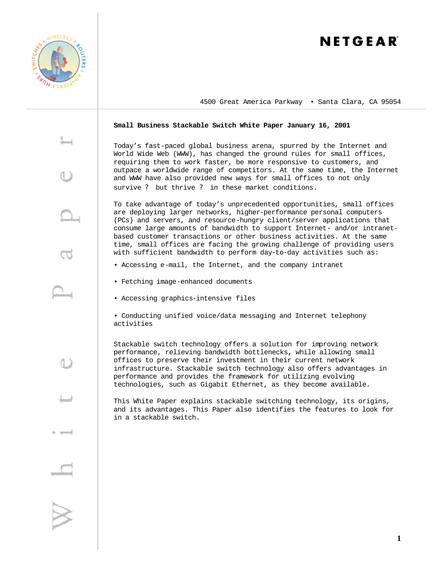

# NETGEAR

4500 Great America Parkway • Santa Clara, CA 95054

## **Small Business Stackable Switch White Paper January 16, 2001**

Today's fast-paced global business arena, spurred by the Internet and World Wide Web (WWW), has changed the ground rules for small offices, requiring them to work faster, be more responsive to customers, and outpace a worldwide range of competitors. At the same time, the Internet and WWW have also provided new ways for small offices to not only survive ? but thrive ? in these market conditions.

To take advantage of today's unprecedented opportunities, small offices are deploying larger networks, higher-performance personal computers (PCs) and servers, and resource-hungry client/server applications that consume large amounts of bandwidth to support Internet- and/or intranetbased customer transactions or other business activities. At the same time, small offices are facing the growing challenge of providing users with sufficient bandwidth to perform day-to-day activities such as:

- Accessing e-mail, the Internet, and the company intranet
- Fetching image-enhanced documents
- Accessing graphics-intensive files

• Conducting unified voice/data messaging and Internet telephony activities

Stackable switch technology offers a solution for improving network performance, relieving bandwidth bottlenecks, while allowing small offices to preserve their investment in their current network infrastructure. Stackable switch technology also offers advantages in performance and provides the framework for utilizing evolving technologies, such as Gigabit Ethernet, as they become available.

This White Paper explains stackable switching technology, its origins, and its advantages. This Paper also identifies the features to look for in a stackable switch.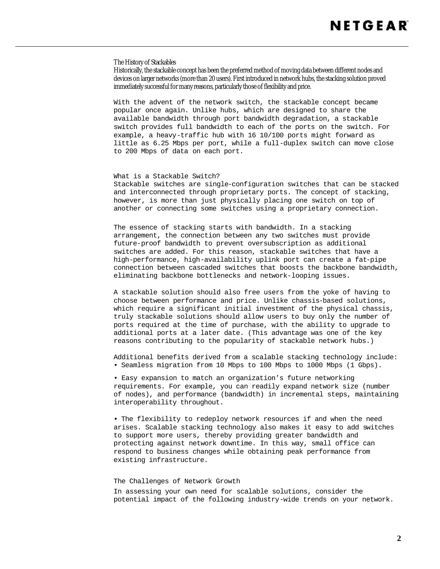### The History of Stackables

Historically, the stackable concept has been the preferred method of moving data between different nodes and devices on larger networks (more than 20 users). First introduced in network hubs, the stacking solution proved immediately successful for many reasons, particularly those of flexibility and price.

With the advent of the network switch, the stackable concept became popular once again. Unlike hubs, which are designed to share the available bandwidth through port bandwidth degradation, a stackable switch provides full bandwidth to each of the ports on the switch. For example, a heavy-traffic hub with 16 10/100 ports might forward as little as 6.25 Mbps per port, while a full-duplex switch can move close to 200 Mbps of data on each port.

#### What is a Stackable Switch?

Stackable switches are single-configuration switches that can be stacked and interconnected through proprietary ports. The concept of stacking, however, is more than just physically placing one switch on top of another or connecting some switches using a proprietary connection.

The essence of stacking starts with bandwidth. In a stacking arrangement, the connection between any two switches must provide future-proof bandwidth to prevent oversubscription as additional switches are added. For this reason, stackable switches that have a high-performance, high-availability uplink port can create a fat-pipe connection between cascaded switches that boosts the backbone bandwidth, eliminating backbone bottlenecks and network-looping issues.

A stackable solution should also free users from the yoke of having to choose between performance and price. Unlike chassis-based solutions, which require a significant initial investment of the physical chassis, truly stackable solutions should allow users to buy only the number of ports required at the time of purchase, with the ability to upgrade to additional ports at a later date. (This advantage was one of the key reasons contributing to the popularity of stackable network hubs.)

Additional benefits derived from a scalable stacking technology include: • Seamless migration from 10 Mbps to 100 Mbps to 1000 Mbps (1 Gbps).

• Easy expansion to match an organization's future networking requirements. For example, you can readily expand network size (number of nodes), and performance (bandwidth) in incremental steps, maintaining interoperability throughout.

**•** The flexibility to redeploy network resources if and when the need arises. Scalable stacking technology also makes it easy to add switches to support more users, thereby providing greater bandwidth and protecting against network downtime. In this way, small office can respond to business changes while obtaining peak performance from existing infrastructure.

# The Challenges of Network Growth

In assessing your own need for scalable solutions, consider the potential impact of the following industry-wide trends on your network.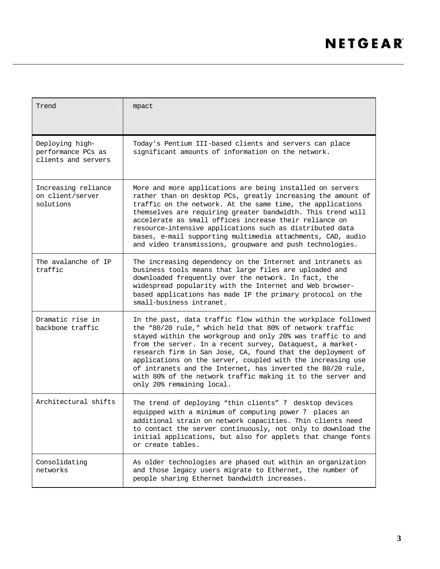| Trend                                                        | mpact                                                                                                                                                                                                                                                                                                                                                                                                                                                                                                                                         |
|--------------------------------------------------------------|-----------------------------------------------------------------------------------------------------------------------------------------------------------------------------------------------------------------------------------------------------------------------------------------------------------------------------------------------------------------------------------------------------------------------------------------------------------------------------------------------------------------------------------------------|
| Deploying high-<br>performance PCs as<br>clients and servers | Today's Pentium III-based clients and servers can place<br>significant amounts of information on the network.                                                                                                                                                                                                                                                                                                                                                                                                                                 |
| Increasing reliance<br>on client/server<br>solutions         | More and more applications are being installed on servers<br>rather than on desktop PCs, greatly increasing the amount of<br>traffic on the network. At the same time, the applications<br>themselves are requiring greater bandwidth. This trend will<br>accelerate as small offices increase their reliance on<br>resource-intensive applications such as distributed data<br>bases, e-mail supporting multimedia attachments, CAD, audio<br>and video transmissions, groupware and push technologies.                                      |
| The avalanche of IP<br>traffic                               | The increasing dependency on the Internet and intranets as<br>business tools means that large files are uploaded and<br>downloaded frequently over the network. In fact, the<br>widespread popularity with the Internet and Web browser-<br>based applications has made IP the primary protocol on the<br>small-business intranet.                                                                                                                                                                                                            |
| Dramatic rise in<br>backbone traffic                         | In the past, data traffic flow within the workplace followed<br>the "80/20 rule," which held that 80% of network traffic<br>stayed within the workgroup and only 20% was traffic to and<br>from the server. In a recent survey, Dataquest, a market-<br>research firm in San Jose, CA, found that the deployment of<br>applications on the server, coupled with the increasing use<br>of intranets and the Internet, has inverted the 80/20 rule,<br>with 80% of the network traffic making it to the server and<br>only 20% remaining local. |
| Architectural shifts                                         | The trend of deploying "thin clients" ? desktop devices<br>equipped with a minimum of computing power ? places an<br>additional strain on network capacities. Thin clients need<br>to contact the server continuously, not only to download the<br>initial applications, but also for applets that change fonts<br>or create tables.                                                                                                                                                                                                          |
| Consolidating<br>networks                                    | As older technologies are phased out within an organization<br>and those legacy users migrate to Ethernet, the number of<br>people sharing Ethernet bandwidth increases.                                                                                                                                                                                                                                                                                                                                                                      |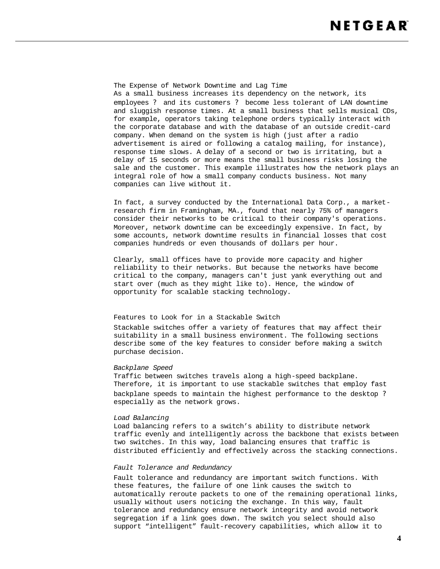The Expense of Network Downtime and Lag Time As a small business increases its dependency on the network, its employees ? and its customers ? become less tolerant of LAN downtime and sluggish response times. At a small business that sells musical CDs, for example, operators taking telephone orders typically interact with the corporate database and with the database of an outside credit-card company. When demand on the system is high (just after a radio advertisement is aired or following a catalog mailing, for instance), response time slows. A delay of a second or two is irritating, but a delay of 15 seconds or more means the small business risks losing the sale and the customer. This example illustrates how the network plays an integral role of how a small company conducts business. Not many companies can live without it.

In fact, a survey conducted by the International Data Corp., a marketresearch firm in Framingham, MA., found that nearly 75% of managers consider their networks to be critical to their company's operations. Moreover, network downtime can be exceedingly expensive. In fact, by some accounts, network downtime results in financial losses that cost companies hundreds or even thousands of dollars per hour.

Clearly, small offices have to provide more capacity and higher reliability to their networks. But because the networks have become critical to the company, managers can't just yank everything out and start over (much as they might like to). Hence, the window of opportunity for scalable stacking technology.

## Features to Look for in a Stackable Switch

Stackable switches offer a variety of features that may affect their suitability in a small business environment. The following sections describe some of the key features to consider before making a switch purchase decision.

#### *Backplane Speed*

Traffic between switches travels along a high-speed backplane. Therefore, it is important to use stackable switches that employ fast backplane speeds to maintain the highest performance to the desktop ? especially as the network grows.

### *Load Balancing*

Load balancing refers to a switch's ability to distribute network traffic evenly and intelligently across the backbone that exists between two switches. In this way, load balancing ensures that traffic is distributed efficiently and effectively across the stacking connections.

#### *Fault Tolerance and Redundancy*

Fault tolerance and redundancy are important switch functions. With these features, the failure of one link causes the switch to automatically reroute packets to one of the remaining operational links, usually without users noticing the exchange. In this way, fault tolerance and redundancy ensure network integrity and avoid network segregation if a link goes down. The switch you select should also support "intelligent" fault-recovery capabilities, which allow it to